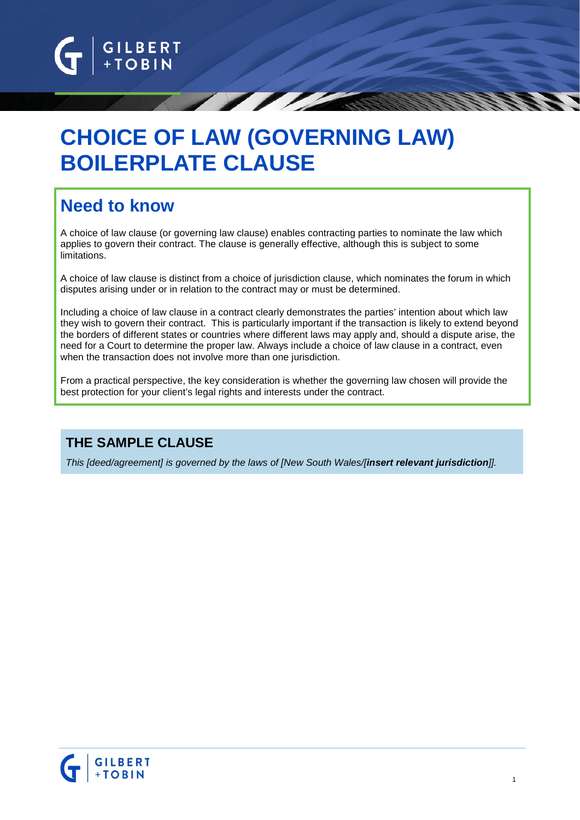

# **CHOICE OF LAW (GOVERNING LAW) BOILERPLATE CLAUSE**

## **Need to know**

A choice of law clause (or governing law clause) enables contracting parties to nominate the law which applies to govern their contract. The clause is generally effective, although this is subject to some limitations.

A choice of law clause is distinct from a choice of jurisdiction clause, which nominates the forum in which disputes arising under or in relation to the contract may or must be determined.

Including a choice of law clause in a contract clearly demonstrates the parties' intention about which law they wish to govern their contract. This is particularly important if the transaction is likely to extend beyond the borders of different states or countries where different laws may apply and, should a dispute arise, the need for a Court to determine the proper law. Always include a choice of law clause in a contract, even when the transaction does not involve more than one jurisdiction.

From a practical perspective, the key consideration is whether the governing law chosen will provide the best protection for your client's legal rights and interests under the contract.

### **THE SAMPLE CLAUSE**

*This [deed/agreement] is governed by the laws of [New South Wales/[insert relevant jurisdiction]].*

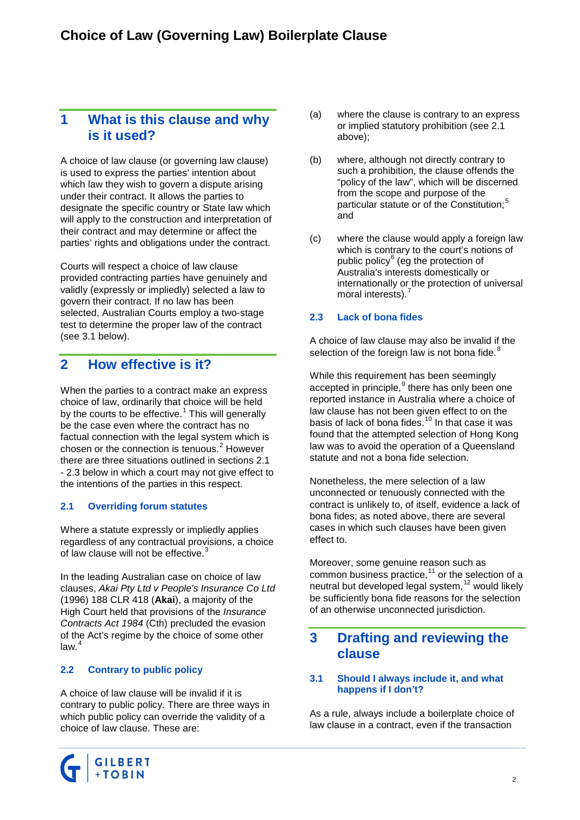### **1 What is this clause and why is it used?**

A choice of law clause (or governing law clause) is used to express the parties' intention about which law they wish to govern a dispute arising under their contract. It allows the parties to designate the specific country or State law which will apply to the construction and interpretation of their contract and may determine or affect the parties' rights and obligations under the contract.

Courts will respect a choice of law clause provided contracting parties have genuinely and validly (expressly or impliedly) selected a law to govern their contract. If no law has been selected, Australian Courts employ a two-stage test to determine the proper law of the contract (see [3.1](#page-1-0) below).

### **2 How effective is it?**

When the parties to a contract make an express choice of law, ordinarily that choice will be held by the courts to be effective.<sup>[1](#page-4-0)</sup> This will generally be the case even where the contract has no factual connection with the legal system which is chosen or the connection is tenuous.<sup>[2](#page-4-1)</sup> However there are three situations outlined in sections [2.1](#page-1-1) - [2.3](#page-1-2) below in which a court may not give effect to the intentions of the parties in this respect.

#### <span id="page-1-1"></span>**2.1 Overriding forum statutes**

Where a statute expressly or impliedly applies regardless of any contractual provisions, a choice of law clause will not be effective.<sup>[3](#page-4-2)</sup>

In the leading Australian case on choice of law clauses, *Akai Pty Ltd v People's Insurance Co Ltd* (1996) 188 CLR 418 (**Akai**), a majority of the High Court held that provisions of the *Insurance Contracts Act 1984* (Cth) precluded the evasion of the Act's regime by the choice of some other  $law.<sup>4</sup>$  $law.<sup>4</sup>$  $law.<sup>4</sup>$ 

#### **2.2 Contrary to public policy**

A choice of law clause will be invalid if it is contrary to public policy. There are three ways in which public policy can override the validity of a choice of law clause. These are:

- (a) where the clause is contrary to an express or implied statutory prohibition (see [2.1](#page-1-1) above);
- (b) where, although not directly contrary to such a prohibition, the clause offends the "policy of the law", which will be discerned from the scope and purpose of the particular statute or of the Constitution;<sup>[5](#page-4-4)</sup> and
- (c) where the clause would apply a foreign law which is contrary to the court's notions of public policy<sup>[6](#page-4-5)</sup> (eg the protection of Australia's interests domestically or internationally or the protection of universal moral interests).<sup>[7](#page-4-6)</sup>

#### <span id="page-1-2"></span>**2.3 Lack of bona fides**

A choice of law clause may also be invalid if the selection of the foreign law is not bona fide.<sup>[8](#page-4-7)</sup>

While this requirement has been seemingly accepted in principle, <sup>[9](#page-4-8)</sup> there has only been one reported instance in Australia where a choice of law clause has not been given effect to on the basis of lack of bona fides.<sup>[10](#page-4-9)</sup> In that case it was found that the attempted selection of Hong Kong law was to avoid the operation of a Queensland statute and not a bona fide selection.

Nonetheless, the mere selection of a law unconnected or tenuously connected with the contract is unlikely to, of itself, evidence a lack of bona fides; as noted above, there are several cases in which such clauses have been given effect to.

Moreover, some genuine reason such as common business practice,<sup>[11](#page-4-10)</sup> or the selection of a neutral but developed legal system,<sup>[12](#page-4-11)</sup> would likely be sufficiently bona fide reasons for the selection of an otherwise unconnected jurisdiction.

### **3 Drafting and reviewing the clause**

#### <span id="page-1-0"></span>**3.1 Should I always include it, and what happens if I don't?**

As a rule, always include a boilerplate choice of law clause in a contract, even if the transaction

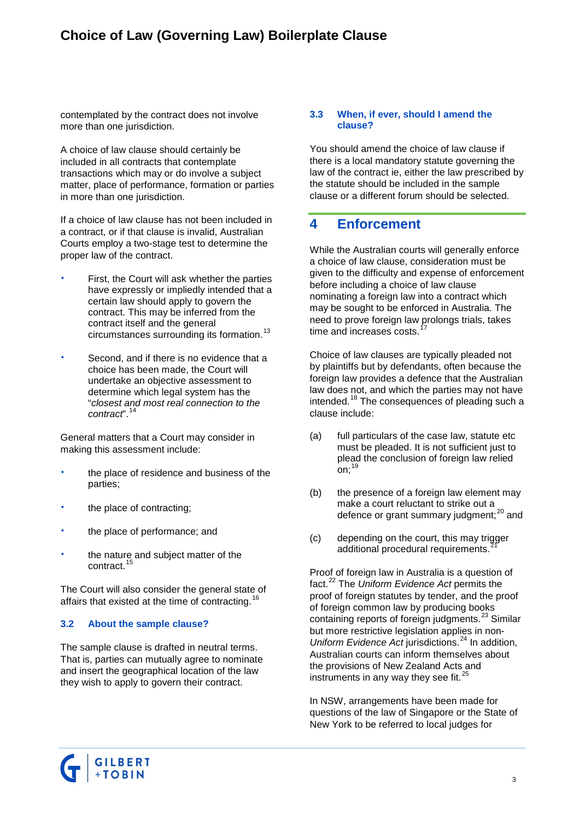### **Choice of Law (Governing Law) Boilerplate Clause**

contemplated by the contract does not involve more than one jurisdiction.

A choice of law clause should certainly be included in all contracts that contemplate transactions which may or do involve a subject matter, place of performance, formation or parties in more than one jurisdiction.

If a choice of law clause has not been included in a contract, or if that clause is invalid, Australian Courts employ a two-stage test to determine the proper law of the contract.

- First, the Court will ask whether the parties have expressly or impliedly intended that a certain law should apply to govern the contract. This may be inferred from the contract itself and the general circumstances surrounding its formation.<sup>13</sup>
- Second, and if there is no evidence that a choice has been made, the Court will undertake an objective assessment to determine which legal system has the "*closest and most real connection to the contract*".[14](#page-4-13)

General matters that a Court may consider in making this assessment include:

- the place of residence and business of the parties;
- the place of contracting;
- the place of performance; and
- the nature and subject matter of the contract.

The Court will also consider the general state of affairs that existed at the time of contracting.<sup>[16](#page-4-15)</sup>

#### **3.2 About the sample clause?**

The sample clause is drafted in neutral terms. That is, parties can mutually agree to nominate and insert the geographical location of the law they wish to apply to govern their contract.

#### **3.3 When, if ever, should I amend the clause?**

You should amend the choice of law clause if there is a local mandatory statute governing the law of the contract ie, either the law prescribed by the statute should be included in the sample clause or a different forum should be selected.

#### **4 Enforcement**

While the Australian courts will generally enforce a choice of law clause, consideration must be given to the difficulty and expense of enforcement before including a choice of law clause nominating a foreign law into a contract which may be sought to be enforced in Australia. The need to prove foreign law prolongs trials, takes time and increases costs.

Choice of law clauses are typically pleaded not by plaintiffs but by defendants, often because the foreign law provides a defence that the Australian law does not, and which the parties may not have intended.[18](#page-4-17) The consequences of pleading such a clause include:

- (a) full particulars of the case law, statute etc must be pleaded. It is not sufficient just to plead the conclusion of foreign law relied on: $19$
- (b) the presence of a foreign law element may make a court reluctant to strike out a defence or grant summary judgment;<sup>[20](#page-4-19)</sup> and
- (c) depending on the court, this may trigger additional procedural requirements.<sup>2</sup>

Proof of foreign law in Australia is a question of fact. [22](#page-4-21) The *Uniform Evidence Act* permits the proof of foreign statutes by tender, and the proof of foreign common law by producing books containing reports of foreign judgments. [23](#page-4-22) Similar but more restrictive legislation applies in non-*Uniform Evidence Act* jurisdictions.<sup>[24](#page-4-23)</sup> In addition, Australian courts can inform themselves about the provisions of New Zealand Acts and instruments in any way they see fit.<sup>[25](#page-4-24)</sup>

In NSW, arrangements have been made for questions of the law of Singapore or the State of New York to be referred to local judges for

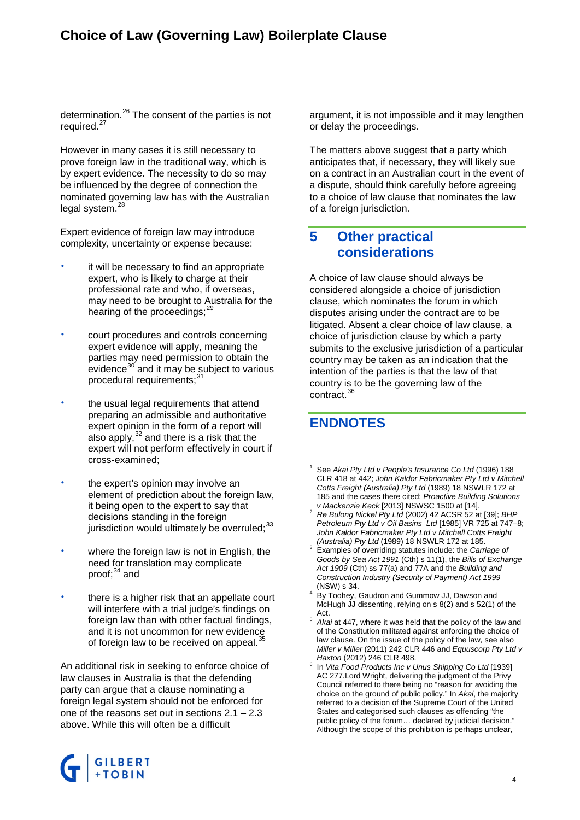### **Choice of Law (Governing Law) Boilerplate Clause**

determination.[26](#page-4-25) The consent of the parties is not required.<sup>[27](#page-4-26)</sup>

However in many cases it is still necessary to prove foreign law in the traditional way, which is by expert evidence. The necessity to do so may be influenced by the degree of connection the nominated governing law has with the Australian legal system.<sup>[28](#page-4-27)</sup>

Expert evidence of foreign law may introduce complexity, uncertainty or expense because:

- it will be necessary to find an appropriate expert, who is likely to charge at their professional rate and who, if overseas, may need to be brought to Australia for the hearing of the proceedings;<sup>[29](#page-4-28)</sup>
- court procedures and controls concerning expert evidence will apply, meaning the parties may need permission to obtain the evidence $30$  and it may be subject to various procedural requirements;<sup>[31](#page-4-30)</sup>
- the usual legal requirements that attend preparing an admissible and authoritative expert opinion in the form of a report will also apply, $^{32}$  $^{32}$  $^{32}$  and there is a risk that the expert will not perform effectively in court if cross-examined;
- the expert's opinion may involve an element of prediction about the foreign law, it being open to the expert to say that decisions standing in the foreign jurisdiction would ultimately be overruled;<sup>[33](#page-4-32)</sup>
- where the foreign law is not in English, the need for translation may complicate proof: $34$  and
- there is a higher risk that an appellate court will interfere with a trial judge's findings on foreign law than with other factual findings, and it is not uncommon for new evidence of foreign law to be received on appeal.<sup>[35](#page-4-34)</sup>

An additional risk in seeking to enforce choice of law clauses in Australia is that the defending party can argue that a clause nominating a foreign legal system should not be enforced for one of the reasons set out in sections [2.1](#page-1-1) – [2.3](#page-1-2) above. While this will often be a difficult

argument, it is not impossible and it may lengthen or delay the proceedings.

The matters above suggest that a party which anticipates that, if necessary, they will likely sue on a contract in an Australian court in the event of a dispute, should think carefully before agreeing to a choice of law clause that nominates the law of a foreign jurisdiction.

### **5 Other practical considerations**

A choice of law clause should always be considered alongside a choice of jurisdiction clause, which nominates the forum in which disputes arising under the contract are to be litigated. Absent a clear choice of law clause, a choice of jurisdiction clause by which a party submits to the exclusive jurisdiction of a particular country may be taken as an indication that the intention of the parties is that the law of that country is to be the governing law of the contract.[36](#page-4-35)

### **ENDNOTES**

- 1 See *Akai Pty Ltd v People's Insurance Co Ltd* (1996) 188 CLR 418 at 442; *John Kaldor Fabricmaker Pty Ltd v Mitchell Cotts Freight (Australia) Pty Ltd* (1989) 18 NSWLR 172 at 185 and the cases there cited; *Proactive Building Solutions*
- *Re Bulong Nickel Pty Ltd* (2002) 42 ACSR 52 at [39]; *BHP Petroleum Pty Ltd v Oil Basins Ltd* [1985] VR 725 at 747–8; *John Kaldor Fabricmaker Pty Ltd v Mitchell Cotts Freight*
- Examples of overriding statutes include: the *Carriage of Goods by Sea Act 1991* (Cth) s 11(1), the *Bills of Exchange Act 1909* (Cth) ss 77(a) and 77A and the *Building and Construction Industry (Security of Payment) Act 1999*
- (NSW) s 34.<br>By Toohey, Gaudron and Gummow JJ, Dawson and McHugh JJ dissenting, relying on s 8(2) and s 52(1) of the
- Act. <sup>5</sup> *Akai* at 447, where it was held that the policy of the law and of the Constitution militated against enforcing the choice of law clause. On the issue of the policy of the law, see also *Miller v Miller* (2011) 242 CLR 446 and *Equuscorp Pty Ltd v*
- <sup>6</sup> In *Vita Food Products Inc v Unus Shipping Co Ltd* [1939] AC 277.Lord Wright, delivering the judgment of the Privy Council referred to there being no "reason for avoiding the choice on the ground of public policy." In *Akai*, the majority referred to a decision of the Supreme Court of the United States and categorised such clauses as offending "the public policy of the forum… declared by judicial decision." Although the scope of this prohibition is perhaps unclear,